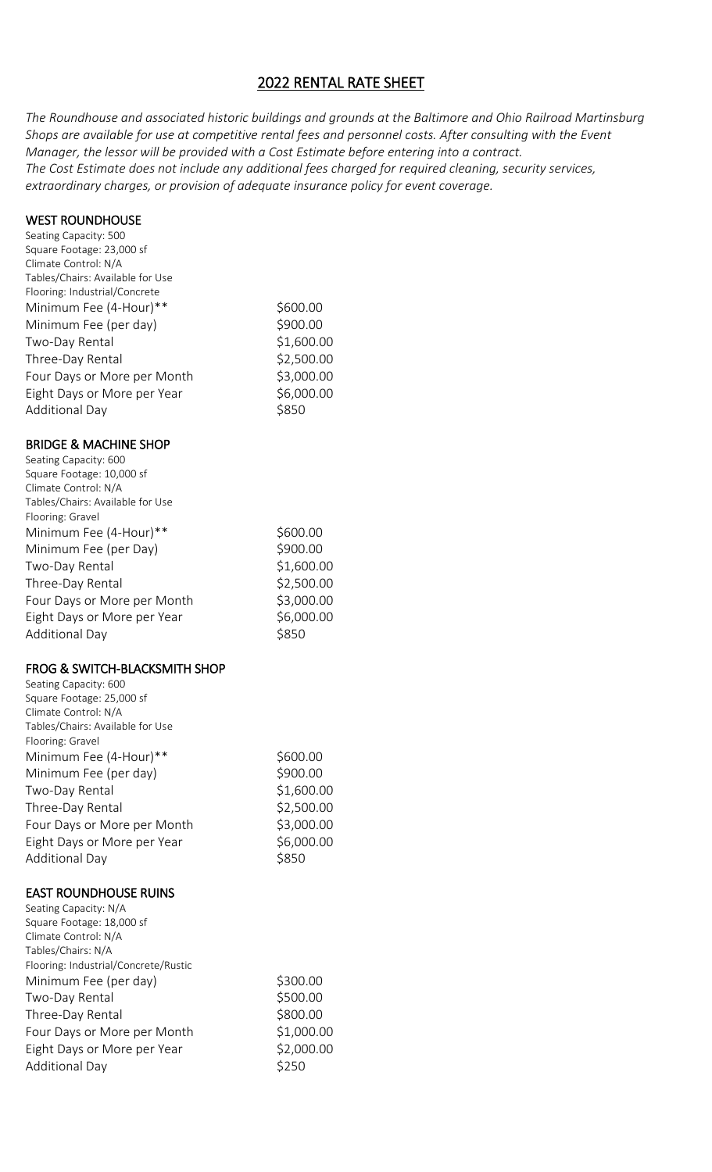# 2022 RENTAL RATE SHEET

*The Roundhouse and associated historic buildings and grounds at the Baltimore and Ohio Railroad Martinsburg Shops are available for use at competitive rental fees and personnel costs. After consulting with the Event Manager, the lessor will be provided with a Cost Estimate before entering into a contract. The Cost Estimate does not include any additional fees charged for required cleaning, security services, extraordinary charges, or provision of adequate insurance policy for event coverage.*

#### WEST ROUNDHOUSE

| Seating Capacity: 500<br>Square Footage: 23,000 sf<br>Climate Control: N/A<br>Tables/Chairs: Available for Use<br>Flooring: Industrial/Concrete |                          |
|-------------------------------------------------------------------------------------------------------------------------------------------------|--------------------------|
| Minimum Fee (4-Hour)**                                                                                                                          | \$600.00                 |
|                                                                                                                                                 | \$900.00                 |
| Minimum Fee (per day)                                                                                                                           |                          |
| Two-Day Rental                                                                                                                                  | \$1,600.00               |
| Three-Day Rental                                                                                                                                | \$2,500.00               |
| Four Days or More per Month                                                                                                                     | \$3,000.00               |
| Eight Days or More per Year                                                                                                                     | \$6,000.00               |
| <b>Additional Day</b>                                                                                                                           | \$850                    |
| <b>BRIDGE &amp; MACHINE SHOP</b>                                                                                                                |                          |
| Seating Capacity: 600                                                                                                                           |                          |
| Square Footage: 10,000 sf                                                                                                                       |                          |
| Climate Control: N/A                                                                                                                            |                          |
| Tables/Chairs: Available for Use                                                                                                                |                          |
| Flooring: Gravel<br>Minimum Fee (4-Hour)**                                                                                                      | \$600.00                 |
| Minimum Fee (per Day)                                                                                                                           | \$900.00                 |
|                                                                                                                                                 |                          |
| Two-Day Rental                                                                                                                                  | \$1,600.00               |
| Three-Day Rental                                                                                                                                | \$2,500.00<br>\$3,000.00 |
| Four Days or More per Month                                                                                                                     |                          |
| Eight Days or More per Year                                                                                                                     | \$6,000.00<br>\$850      |
| <b>Additional Day</b>                                                                                                                           |                          |
|                                                                                                                                                 |                          |
| <b>FROG &amp; SWITCH-BLACKSMITH SHOP</b>                                                                                                        |                          |
| Seating Capacity: 600                                                                                                                           |                          |
| Square Footage: 25,000 sf                                                                                                                       |                          |
| Climate Control: N/A                                                                                                                            |                          |
| Tables/Chairs: Available for Use                                                                                                                |                          |
| Flooring: Gravel                                                                                                                                |                          |
| Minimum Fee (4-Hour)**                                                                                                                          | \$600.00                 |
| Minimum Fee (per day)                                                                                                                           | \$900.00                 |
| Two-Day Rental                                                                                                                                  | \$1,600.00               |
| Three-Day Rental                                                                                                                                | \$2,500.00               |
| Four Days or More per Month                                                                                                                     | \$3,000.00               |
| Eight Days or More per Year                                                                                                                     | \$6,000.00               |
| <b>Additional Day</b>                                                                                                                           | \$850                    |
| <b>EAST ROUNDHOUSE RUINS</b>                                                                                                                    |                          |
| Seating Capacity: N/A                                                                                                                           |                          |
| Square Footage: 18,000 sf                                                                                                                       |                          |
| Climate Control: N/A                                                                                                                            |                          |
| Tables/Chairs: N/A                                                                                                                              |                          |
| Flooring: Industrial/Concrete/Rustic                                                                                                            | \$300.00                 |
| Minimum Fee (per day)                                                                                                                           |                          |
| Two-Day Rental                                                                                                                                  | \$500.00                 |
| Three-Day Rental                                                                                                                                | \$800.00                 |
| Four Days or More per Month                                                                                                                     | \$1,000.00               |
| Eight Days or More per Year<br><b>Additional Day</b>                                                                                            | \$2,000.00<br>\$250      |